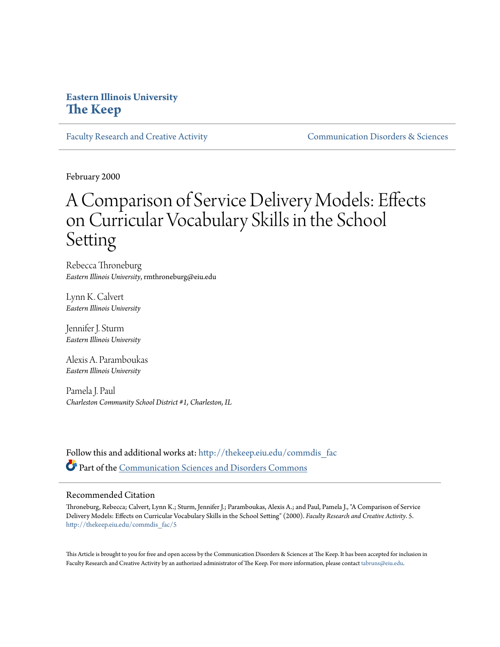## **Eastern Illinois University [The Keep](http://thekeep.eiu.edu?utm_source=thekeep.eiu.edu%2Fcommdis_fac%2F5&utm_medium=PDF&utm_campaign=PDFCoverPages)**

[Faculty Research and Creative Activity](http://thekeep.eiu.edu/commdis_fac?utm_source=thekeep.eiu.edu%2Fcommdis_fac%2F5&utm_medium=PDF&utm_campaign=PDFCoverPages) **[Communication Disorders & Sciences](http://thekeep.eiu.edu/commdis?utm_source=thekeep.eiu.edu%2Fcommdis_fac%2F5&utm_medium=PDF&utm_campaign=PDFCoverPages)** 

February 2000

# A Comparison of Service Delivery Models: Effects on Curricular Vocabulary Skills in the School Setting

Rebecca Throneburg *Eastern Illinois University*, rmthroneburg@eiu.edu

Lynn K. Calvert *Eastern Illinois University*

Jennifer J. Sturm *Eastern Illinois University*

Alexis A. Paramboukas *Eastern Illinois University*

Pamela J. Paul *Charleston Community School District #1, Charleston, IL*

Follow this and additional works at: [http://thekeep.eiu.edu/commdis\\_fac](http://thekeep.eiu.edu/commdis_fac?utm_source=thekeep.eiu.edu%2Fcommdis_fac%2F5&utm_medium=PDF&utm_campaign=PDFCoverPages) Part of the [Communication Sciences and Disorders Commons](http://network.bepress.com/hgg/discipline/1019?utm_source=thekeep.eiu.edu%2Fcommdis_fac%2F5&utm_medium=PDF&utm_campaign=PDFCoverPages)

#### Recommended Citation

Throneburg, Rebecca; Calvert, Lynn K.; Sturm, Jennifer J.; Paramboukas, Alexis A.; and Paul, Pamela J., "A Comparison of Service Delivery Models: Effects on Curricular Vocabulary Skills in the School Setting" (2000). *Faculty Research and Creative Activity*. 5. [http://thekeep.eiu.edu/commdis\\_fac/5](http://thekeep.eiu.edu/commdis_fac/5?utm_source=thekeep.eiu.edu%2Fcommdis_fac%2F5&utm_medium=PDF&utm_campaign=PDFCoverPages)

This Article is brought to you for free and open access by the Communication Disorders & Sciences at The Keep. It has been accepted for inclusion in Faculty Research and Creative Activity by an authorized administrator of The Keep. For more information, please contact [tabruns@eiu.edu.](mailto:tabruns@eiu.edu)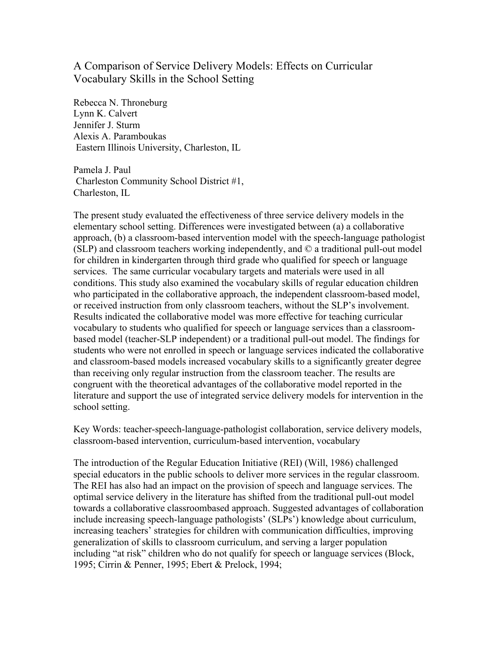## A Comparison of Service Delivery Models: Effects on Curricular Vocabulary Skills in the School Setting

Rebecca N. Throneburg Lynn K. Calvert Jennifer J. Sturm Alexis A. Paramboukas Eastern Illinois University, Charleston, IL

Pamela J. Paul Charleston Community School District #1, Charleston, IL

The present study evaluated the effectiveness of three service delivery models in the elementary school setting. Differences were investigated between (a) a collaborative approach, (b) a classroom-based intervention model with the speech-language pathologist (SLP) and classroom teachers working independently, and © a traditional pull-out model for children in kindergarten through third grade who qualified for speech or language services. The same curricular vocabulary targets and materials were used in all conditions. This study also examined the vocabulary skills of regular education children who participated in the collaborative approach, the independent classroom-based model, or received instruction from only classroom teachers, without the SLP's involvement. Results indicated the collaborative model was more effective for teaching curricular vocabulary to students who qualified for speech or language services than a classroombased model (teacher-SLP independent) or a traditional pull-out model. The findings for students who were not enrolled in speech or language services indicated the collaborative and classroom-based models increased vocabulary skills to a significantly greater degree than receiving only regular instruction from the classroom teacher. The results are congruent with the theoretical advantages of the collaborative model reported in the literature and support the use of integrated service delivery models for intervention in the school setting.

Key Words: teacher-speech-language-pathologist collaboration, service delivery models, classroom-based intervention, curriculum-based intervention, vocabulary

The introduction of the Regular Education Initiative (REI) (Will, 1986) challenged special educators in the public schools to deliver more services in the regular classroom. The REI has also had an impact on the provision of speech and language services. The optimal service delivery in the literature has shifted from the traditional pull-out model towards a collaborative classroombased approach. Suggested advantages of collaboration include increasing speech-language pathologists' (SLPs') knowledge about curriculum, increasing teachers' strategies for children with communication difficulties, improving generalization of skills to classroom curriculum, and serving a larger population including "at risk" children who do not qualify for speech or language services (Block, 1995; Cirrin & Penner, 1995; Ebert & Prelock, 1994;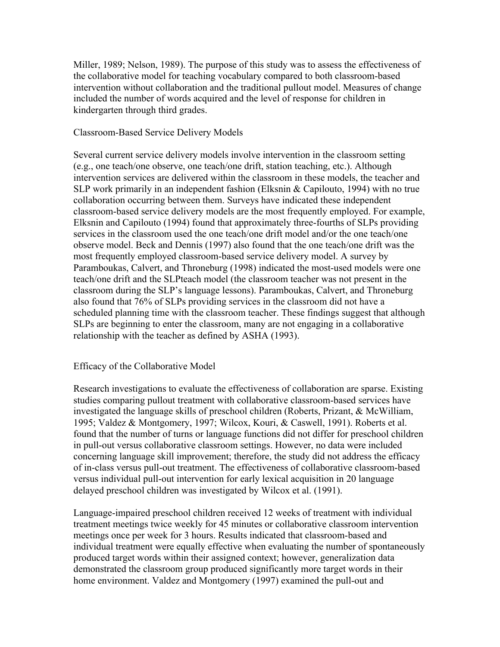Miller, 1989; Nelson, 1989). The purpose of this study was to assess the effectiveness of the collaborative model for teaching vocabulary compared to both classroom-based intervention without collaboration and the traditional pullout model. Measures of change included the number of words acquired and the level of response for children in kindergarten through third grades.

#### Classroom-Based Service Delivery Models

Several current service delivery models involve intervention in the classroom setting (e.g., one teach/one observe, one teach/one drift, station teaching, etc.). Although intervention services are delivered within the classroom in these models, the teacher and SLP work primarily in an independent fashion (Elksnin & Capilouto, 1994) with no true collaboration occurring between them. Surveys have indicated these independent classroom-based service delivery models are the most frequently employed. For example, Elksnin and Capilouto (1994) found that approximately three-fourths of SLPs providing services in the classroom used the one teach/one drift model and/or the one teach/one observe model. Beck and Dennis (1997) also found that the one teach/one drift was the most frequently employed classroom-based service delivery model. A survey by Paramboukas, Calvert, and Throneburg (1998) indicated the most-used models were one teach/one drift and the SLPteach model (the classroom teacher was not present in the classroom during the SLP's language lessons). Paramboukas, Calvert, and Throneburg also found that 76% of SLPs providing services in the classroom did not have a scheduled planning time with the classroom teacher. These findings suggest that although SLPs are beginning to enter the classroom, many are not engaging in a collaborative relationship with the teacher as defined by ASHA (1993).

#### Efficacy of the Collaborative Model

Research investigations to evaluate the effectiveness of collaboration are sparse. Existing studies comparing pullout treatment with collaborative classroom-based services have investigated the language skills of preschool children (Roberts, Prizant, & McWilliam, 1995; Valdez & Montgomery, 1997; Wilcox, Kouri, & Caswell, 1991). Roberts et al. found that the number of turns or language functions did not differ for preschool children in pull-out versus collaborative classroom settings. However, no data were included concerning language skill improvement; therefore, the study did not address the efficacy of in-class versus pull-out treatment. The effectiveness of collaborative classroom-based versus individual pull-out intervention for early lexical acquisition in 20 language delayed preschool children was investigated by Wilcox et al. (1991).

Language-impaired preschool children received 12 weeks of treatment with individual treatment meetings twice weekly for 45 minutes or collaborative classroom intervention meetings once per week for 3 hours. Results indicated that classroom-based and individual treatment were equally effective when evaluating the number of spontaneously produced target words within their assigned context; however, generalization data demonstrated the classroom group produced significantly more target words in their home environment. Valdez and Montgomery (1997) examined the pull-out and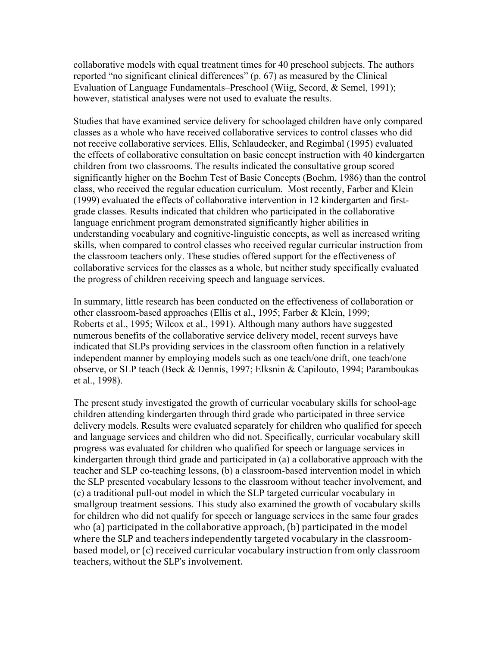collaborative models with equal treatment times for 40 preschool subjects. The authors reported "no significant clinical differences" (p. 67) as measured by the Clinical Evaluation of Language Fundamentals–Preschool (Wiig, Secord, & Semel, 1991); however, statistical analyses were not used to evaluate the results.

Studies that have examined service delivery for schoolaged children have only compared classes as a whole who have received collaborative services to control classes who did not receive collaborative services. Ellis, Schlaudecker, and Regimbal (1995) evaluated the effects of collaborative consultation on basic concept instruction with 40 kindergarten children from two classrooms. The results indicated the consultative group scored significantly higher on the Boehm Test of Basic Concepts (Boehm, 1986) than the control class, who received the regular education curriculum. Most recently, Farber and Klein (1999) evaluated the effects of collaborative intervention in 12 kindergarten and firstgrade classes. Results indicated that children who participated in the collaborative language enrichment program demonstrated significantly higher abilities in understanding vocabulary and cognitive-linguistic concepts, as well as increased writing skills, when compared to control classes who received regular curricular instruction from the classroom teachers only. These studies offered support for the effectiveness of collaborative services for the classes as a whole, but neither study specifically evaluated the progress of children receiving speech and language services.

In summary, little research has been conducted on the effectiveness of collaboration or other classroom-based approaches (Ellis et al., 1995; Farber & Klein, 1999; Roberts et al., 1995; Wilcox et al., 1991). Although many authors have suggested numerous benefits of the collaborative service delivery model, recent surveys have indicated that SLPs providing services in the classroom often function in a relatively independent manner by employing models such as one teach/one drift, one teach/one observe, or SLP teach (Beck & Dennis, 1997; Elksnin & Capilouto, 1994; Paramboukas et al., 1998).

The present study investigated the growth of curricular vocabulary skills for school-age children attending kindergarten through third grade who participated in three service delivery models. Results were evaluated separately for children who qualified for speech and language services and children who did not. Specifically, curricular vocabulary skill progress was evaluated for children who qualified for speech or language services in kindergarten through third grade and participated in (a) a collaborative approach with the teacher and SLP co-teaching lessons, (b) a classroom-based intervention model in which the SLP presented vocabulary lessons to the classroom without teacher involvement, and (c) a traditional pull-out model in which the SLP targeted curricular vocabulary in smallgroup treatment sessions. This study also examined the growth of vocabulary skills for children who did not qualify for speech or language services in the same four grades who (a) participated in the collaborative approach,  $(b)$  participated in the model where the SLP and teachers independently targeted vocabulary in the classroombased model, or (c) received curricular vocabulary instruction from only classroom teachers, without the SLP's involvement.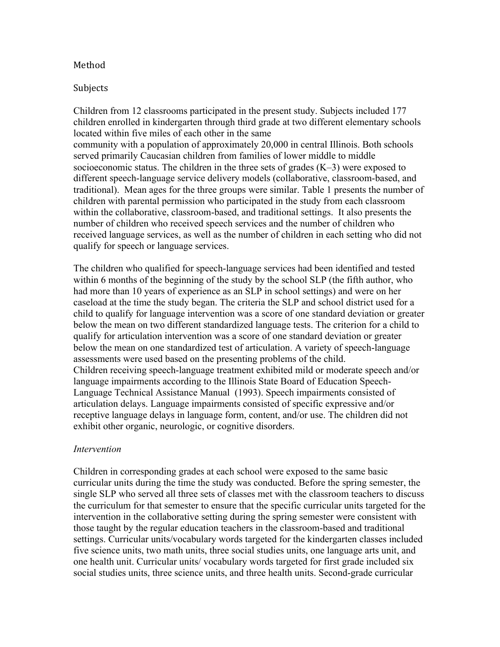#### Method

#### Subjects

Children from 12 classrooms participated in the present study. Subjects included 177 children enrolled in kindergarten through third grade at two different elementary schools located within five miles of each other in the same community with a population of approximately 20,000 in central Illinois. Both schools served primarily Caucasian children from families of lower middle to middle socioeconomic status. The children in the three sets of grades  $(K-3)$  were exposed to different speech-language service delivery models (collaborative, classroom-based, and traditional). Mean ages for the three groups were similar. Table 1 presents the number of children with parental permission who participated in the study from each classroom within the collaborative, classroom-based, and traditional settings. It also presents the number of children who received speech services and the number of children who received language services, as well as the number of children in each setting who did not qualify for speech or language services.

The children who qualified for speech-language services had been identified and tested within 6 months of the beginning of the study by the school SLP (the fifth author, who had more than 10 years of experience as an SLP in school settings) and were on her caseload at the time the study began. The criteria the SLP and school district used for a child to qualify for language intervention was a score of one standard deviation or greater below the mean on two different standardized language tests. The criterion for a child to qualify for articulation intervention was a score of one standard deviation or greater below the mean on one standardized test of articulation. A variety of speech-language assessments were used based on the presenting problems of the child. Children receiving speech-language treatment exhibited mild or moderate speech and/or language impairments according to the Illinois State Board of Education Speech-Language Technical Assistance Manual (1993). Speech impairments consisted of articulation delays. Language impairments consisted of specific expressive and/or receptive language delays in language form, content, and/or use. The children did not exhibit other organic, neurologic, or cognitive disorders.

#### *Intervention*

Children in corresponding grades at each school were exposed to the same basic curricular units during the time the study was conducted. Before the spring semester, the single SLP who served all three sets of classes met with the classroom teachers to discuss the curriculum for that semester to ensure that the specific curricular units targeted for the intervention in the collaborative setting during the spring semester were consistent with those taught by the regular education teachers in the classroom-based and traditional settings. Curricular units/vocabulary words targeted for the kindergarten classes included five science units, two math units, three social studies units, one language arts unit, and one health unit. Curricular units/ vocabulary words targeted for first grade included six social studies units, three science units, and three health units. Second-grade curricular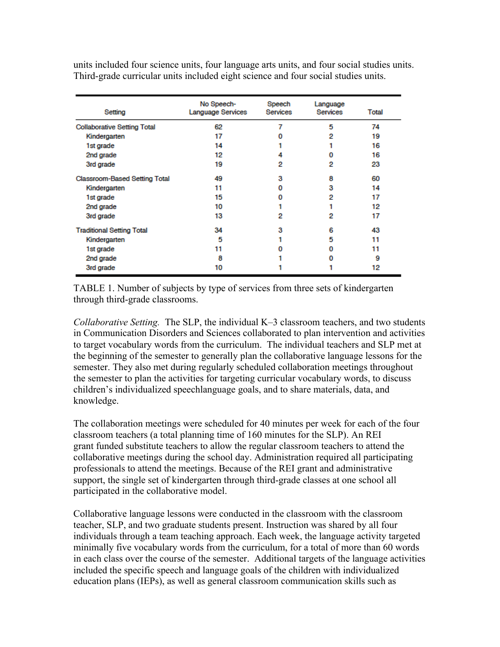units included four science units, four language arts units, and four social studies units. Third-grade curricular units included eight science and four social studies units.

| Setting                              | No Speech-<br><b>Language Services</b> | Speech<br><b>Services</b> | Language<br>Services | Total |
|--------------------------------------|----------------------------------------|---------------------------|----------------------|-------|
| <b>Collaborative Setting Total</b>   | 62                                     | 7                         | 5                    | 74    |
| Kindergarten                         | 17                                     |                           | 2                    | 19    |
| 1st grade                            | 14                                     |                           |                      | 16    |
| 2nd grade                            | 12                                     |                           | 0                    | 16    |
| 3rd grade                            | 19                                     | 2                         | 2                    | 23    |
| <b>Classroom-Based Setting Total</b> | 49                                     | з                         | 8                    | 60    |
| Kindergarten                         | 11                                     | n                         | 3                    | 14    |
| 1st grade                            | 15                                     |                           | 2                    | 17    |
| 2nd grade                            | 10                                     |                           |                      | 12    |
| 3rd grade                            | 13                                     | 2                         | 2                    | 17    |
| <b>Traditional Setting Total</b>     | 34                                     | з                         | 6                    | 43    |
| Kindergarten                         | 5                                      |                           | 5                    | 11    |
| 1st grade                            | 11                                     |                           | O                    | 11    |
| 2nd grade                            | 8                                      |                           | n                    | 9     |
| 3rd grade                            | 10                                     |                           |                      | 12    |

TABLE 1. Number of subjects by type of services from three sets of kindergarten through third-grade classrooms.

*Collaborative Setting.* The SLP, the individual K–3 classroom teachers, and two students in Communication Disorders and Sciences collaborated to plan intervention and activities to target vocabulary words from the curriculum. The individual teachers and SLP met at the beginning of the semester to generally plan the collaborative language lessons for the semester. They also met during regularly scheduled collaboration meetings throughout the semester to plan the activities for targeting curricular vocabulary words, to discuss children's individualized speechlanguage goals, and to share materials, data, and knowledge.

The collaboration meetings were scheduled for 40 minutes per week for each of the four classroom teachers (a total planning time of 160 minutes for the SLP). An REI grant funded substitute teachers to allow the regular classroom teachers to attend the collaborative meetings during the school day. Administration required all participating professionals to attend the meetings. Because of the REI grant and administrative support, the single set of kindergarten through third-grade classes at one school all participated in the collaborative model.

Collaborative language lessons were conducted in the classroom with the classroom teacher, SLP, and two graduate students present. Instruction was shared by all four individuals through a team teaching approach. Each week, the language activity targeted minimally five vocabulary words from the curriculum, for a total of more than 60 words in each class over the course of the semester. Additional targets of the language activities included the specific speech and language goals of the children with individualized education plans (IEPs), as well as general classroom communication skills such as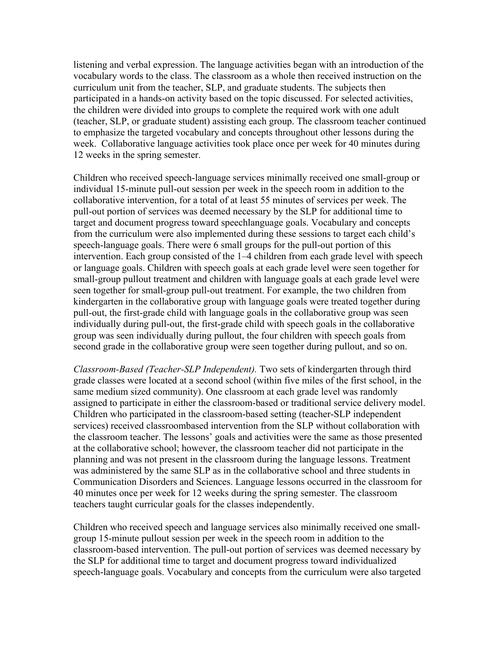listening and verbal expression. The language activities began with an introduction of the vocabulary words to the class. The classroom as a whole then received instruction on the curriculum unit from the teacher, SLP, and graduate students. The subjects then participated in a hands-on activity based on the topic discussed. For selected activities, the children were divided into groups to complete the required work with one adult (teacher, SLP, or graduate student) assisting each group. The classroom teacher continued to emphasize the targeted vocabulary and concepts throughout other lessons during the week. Collaborative language activities took place once per week for 40 minutes during 12 weeks in the spring semester.

Children who received speech-language services minimally received one small-group or individual 15-minute pull-out session per week in the speech room in addition to the collaborative intervention, for a total of at least 55 minutes of services per week. The pull-out portion of services was deemed necessary by the SLP for additional time to target and document progress toward speechlanguage goals. Vocabulary and concepts from the curriculum were also implemented during these sessions to target each child's speech-language goals. There were 6 small groups for the pull-out portion of this intervention. Each group consisted of the 1–4 children from each grade level with speech or language goals. Children with speech goals at each grade level were seen together for small-group pullout treatment and children with language goals at each grade level were seen together for small-group pull-out treatment. For example, the two children from kindergarten in the collaborative group with language goals were treated together during pull-out, the first-grade child with language goals in the collaborative group was seen individually during pull-out, the first-grade child with speech goals in the collaborative group was seen individually during pullout, the four children with speech goals from second grade in the collaborative group were seen together during pullout, and so on.

*Classroom-Based (Teacher-SLP Independent).* Two sets of kindergarten through third grade classes were located at a second school (within five miles of the first school, in the same medium sized community). One classroom at each grade level was randomly assigned to participate in either the classroom-based or traditional service delivery model. Children who participated in the classroom-based setting (teacher-SLP independent services) received classroombased intervention from the SLP without collaboration with the classroom teacher. The lessons' goals and activities were the same as those presented at the collaborative school; however, the classroom teacher did not participate in the planning and was not present in the classroom during the language lessons. Treatment was administered by the same SLP as in the collaborative school and three students in Communication Disorders and Sciences. Language lessons occurred in the classroom for 40 minutes once per week for 12 weeks during the spring semester. The classroom teachers taught curricular goals for the classes independently.

Children who received speech and language services also minimally received one smallgroup 15-minute pullout session per week in the speech room in addition to the classroom-based intervention. The pull-out portion of services was deemed necessary by the SLP for additional time to target and document progress toward individualized speech-language goals. Vocabulary and concepts from the curriculum were also targeted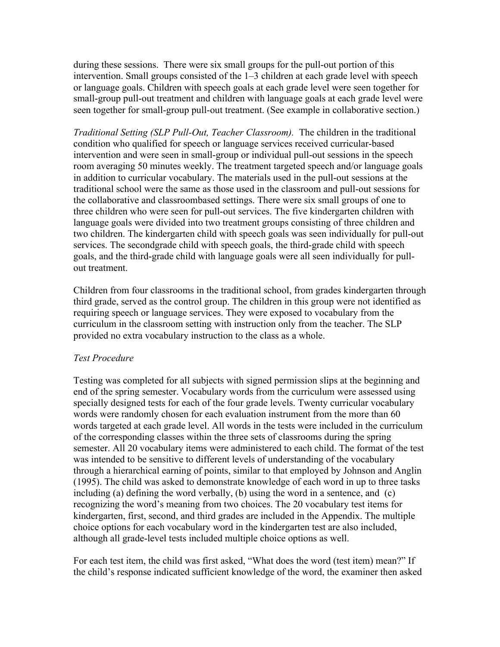during these sessions. There were six small groups for the pull-out portion of this intervention. Small groups consisted of the 1–3 children at each grade level with speech or language goals. Children with speech goals at each grade level were seen together for small-group pull-out treatment and children with language goals at each grade level were seen together for small-group pull-out treatment. (See example in collaborative section.)

*Traditional Setting (SLP Pull-Out, Teacher Classroom).* The children in the traditional condition who qualified for speech or language services received curricular-based intervention and were seen in small-group or individual pull-out sessions in the speech room averaging 50 minutes weekly. The treatment targeted speech and/or language goals in addition to curricular vocabulary. The materials used in the pull-out sessions at the traditional school were the same as those used in the classroom and pull-out sessions for the collaborative and classroombased settings. There were six small groups of one to three children who were seen for pull-out services. The five kindergarten children with language goals were divided into two treatment groups consisting of three children and two children. The kindergarten child with speech goals was seen individually for pull-out services. The secondgrade child with speech goals, the third-grade child with speech goals, and the third-grade child with language goals were all seen individually for pullout treatment.

Children from four classrooms in the traditional school, from grades kindergarten through third grade, served as the control group. The children in this group were not identified as requiring speech or language services. They were exposed to vocabulary from the curriculum in the classroom setting with instruction only from the teacher. The SLP provided no extra vocabulary instruction to the class as a whole.

#### *Test Procedure*

Testing was completed for all subjects with signed permission slips at the beginning and end of the spring semester. Vocabulary words from the curriculum were assessed using specially designed tests for each of the four grade levels. Twenty curricular vocabulary words were randomly chosen for each evaluation instrument from the more than 60 words targeted at each grade level. All words in the tests were included in the curriculum of the corresponding classes within the three sets of classrooms during the spring semester. All 20 vocabulary items were administered to each child. The format of the test was intended to be sensitive to different levels of understanding of the vocabulary through a hierarchical earning of points, similar to that employed by Johnson and Anglin (1995). The child was asked to demonstrate knowledge of each word in up to three tasks including (a) defining the word verbally, (b) using the word in a sentence, and (c) recognizing the word's meaning from two choices. The 20 vocabulary test items for kindergarten, first, second, and third grades are included in the Appendix. The multiple choice options for each vocabulary word in the kindergarten test are also included, although all grade-level tests included multiple choice options as well.

For each test item, the child was first asked, "What does the word (test item) mean?" If the child's response indicated sufficient knowledge of the word, the examiner then asked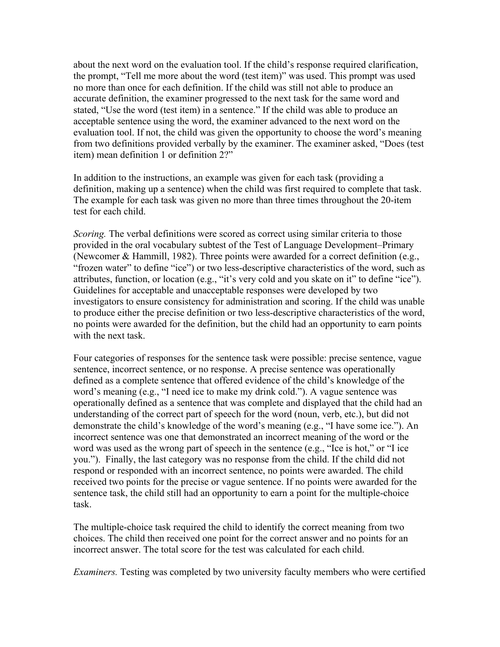about the next word on the evaluation tool. If the child's response required clarification, the prompt, "Tell me more about the word (test item)" was used. This prompt was used no more than once for each definition. If the child was still not able to produce an accurate definition, the examiner progressed to the next task for the same word and stated, "Use the word (test item) in a sentence." If the child was able to produce an acceptable sentence using the word, the examiner advanced to the next word on the evaluation tool. If not, the child was given the opportunity to choose the word's meaning from two definitions provided verbally by the examiner. The examiner asked, "Does (test item) mean definition 1 or definition 2?"

In addition to the instructions, an example was given for each task (providing a definition, making up a sentence) when the child was first required to complete that task. The example for each task was given no more than three times throughout the 20-item test for each child.

*Scoring*. The verbal definitions were scored as correct using similar criteria to those provided in the oral vocabulary subtest of the Test of Language Development–Primary (Newcomer & Hammill, 1982). Three points were awarded for a correct definition (e.g., "frozen water" to define "ice") or two less-descriptive characteristics of the word, such as attributes, function, or location (e.g., "it's very cold and you skate on it" to define "ice"). Guidelines for acceptable and unacceptable responses were developed by two investigators to ensure consistency for administration and scoring. If the child was unable to produce either the precise definition or two less-descriptive characteristics of the word, no points were awarded for the definition, but the child had an opportunity to earn points with the next task.

Four categories of responses for the sentence task were possible: precise sentence, vague sentence, incorrect sentence, or no response. A precise sentence was operationally defined as a complete sentence that offered evidence of the child's knowledge of the word's meaning (e.g., "I need ice to make my drink cold."). A vague sentence was operationally defined as a sentence that was complete and displayed that the child had an understanding of the correct part of speech for the word (noun, verb, etc.), but did not demonstrate the child's knowledge of the word's meaning (e.g., "I have some ice."). An incorrect sentence was one that demonstrated an incorrect meaning of the word or the word was used as the wrong part of speech in the sentence (e.g., "Ice is hot," or "I ice you."). Finally, the last category was no response from the child. If the child did not respond or responded with an incorrect sentence, no points were awarded. The child received two points for the precise or vague sentence. If no points were awarded for the sentence task, the child still had an opportunity to earn a point for the multiple-choice task.

The multiple-choice task required the child to identify the correct meaning from two choices. The child then received one point for the correct answer and no points for an incorrect answer. The total score for the test was calculated for each child.

*Examiners.* Testing was completed by two university faculty members who were certified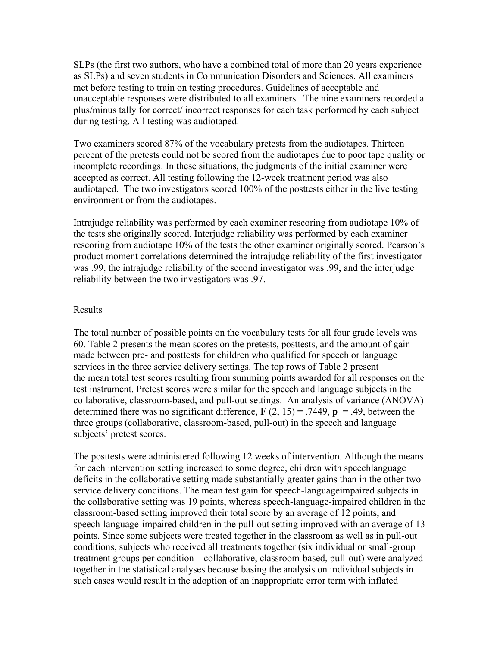SLPs (the first two authors, who have a combined total of more than 20 years experience as SLPs) and seven students in Communication Disorders and Sciences. All examiners met before testing to train on testing procedures. Guidelines of acceptable and unacceptable responses were distributed to all examiners. The nine examiners recorded a plus/minus tally for correct/ incorrect responses for each task performed by each subject during testing. All testing was audiotaped.

Two examiners scored 87% of the vocabulary pretests from the audiotapes. Thirteen percent of the pretests could not be scored from the audiotapes due to poor tape quality or incomplete recordings. In these situations, the judgments of the initial examiner were accepted as correct. All testing following the 12-week treatment period was also audiotaped. The two investigators scored 100% of the posttests either in the live testing environment or from the audiotapes.

Intrajudge reliability was performed by each examiner rescoring from audiotape 10% of the tests she originally scored. Interjudge reliability was performed by each examiner rescoring from audiotape 10% of the tests the other examiner originally scored. Pearson's product moment correlations determined the intrajudge reliability of the first investigator was .99, the intrajudge reliability of the second investigator was .99, and the interjudge reliability between the two investigators was .97.

#### Results

The total number of possible points on the vocabulary tests for all four grade levels was 60. Table 2 presents the mean scores on the pretests, posttests, and the amount of gain made between pre- and posttests for children who qualified for speech or language services in the three service delivery settings. The top rows of Table 2 present the mean total test scores resulting from summing points awarded for all responses on the test instrument. Pretest scores were similar for the speech and language subjects in the collaborative, classroom-based, and pull-out settings. An analysis of variance (ANOVA) determined there was no significant difference,  $\bf{F}$  (2, 15) = .7449,  $\bf{p}$  = .49, between the three groups (collaborative, classroom-based, pull-out) in the speech and language subjects' pretest scores.

The posttests were administered following 12 weeks of intervention. Although the means for each intervention setting increased to some degree, children with speechlanguage deficits in the collaborative setting made substantially greater gains than in the other two service delivery conditions. The mean test gain for speech-languageimpaired subjects in the collaborative setting was 19 points, whereas speech-language-impaired children in the classroom-based setting improved their total score by an average of 12 points, and speech-language-impaired children in the pull-out setting improved with an average of 13 points. Since some subjects were treated together in the classroom as well as in pull-out conditions, subjects who received all treatments together (six individual or small-group treatment groups per condition—collaborative, classroom-based, pull-out) were analyzed together in the statistical analyses because basing the analysis on individual subjects in such cases would result in the adoption of an inappropriate error term with inflated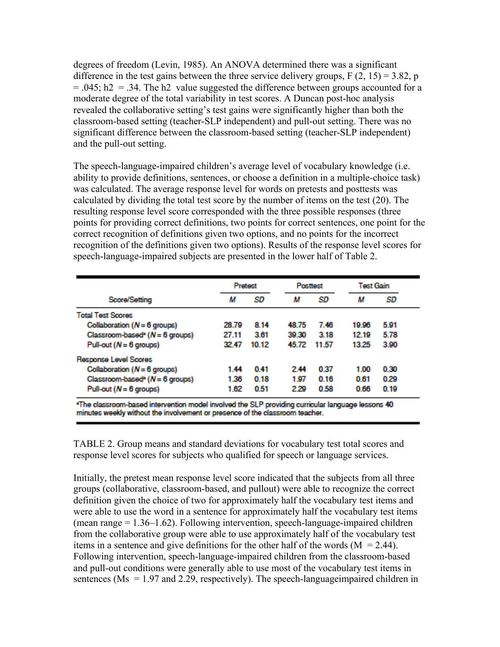degrees of freedom (Levin, 1985). An ANOVA determined there was a significant difference in the test gains between the three service delivery groups,  $F(2, 15) = 3.82$ , p  $= .045$ ; h2 = .34. The h2 value suggested the difference between groups accounted for a moderate degree of the total variability in test scores. A Duncan post-hoc analysis revealed the collaborative setting's test gains were significantly higher than both the classroom-based setting (teacher-SLP independent) and pull-out setting. There was no significant difference between the classroom-based setting (teacher-SLP independent) and the pull-out setting.

The speech-language-impaired children's average level of vocabulary knowledge (i.e. ability to provide definitions, sentences, or choose a definition in a multiple-choice task) was calculated. The average response level for words on pretests and posttests was calculated by dividing the total test score by the number of items on the test (20). The resulting response level score corresponded with the three possible responses (three points for providing correct definitions, two points for correct sentences, one point for the correct recognition of definitions given two options, and no points for the incorrect recognition of the definitions given two options). Results of the response level scores for speech-language-impaired subjects are presented in the lower half of Table 2.

|                                                | Pretest |       | Posttest |       | <b>Test Gain</b> |      |
|------------------------------------------------|---------|-------|----------|-------|------------------|------|
| Score/Setting                                  | М       | SD    | м        | SD    | м                | SD   |
| <b>Total Test Scores</b>                       |         |       |          |       |                  |      |
| Collaboration $(N = 6$ groups)                 | 28.79   | 8.14  | 48.75    | 7.46  | 19.96            | 5.91 |
| Classroom-based <sup>*</sup> ( $N = 6$ groups) | 27.11   | 3.61  | 39.30    | 3.18  | 12.19            | 5.78 |
| Pull-out ( $N = 6$ groups)                     | 32.47   | 10.12 | 45.72    | 11.57 | 13.25            | 3.90 |
| Response Level Scores                          |         |       |          |       |                  |      |
| Collaboration $(N = 6$ groups)                 | 1.44    | 0.41  | 2.44     | 0.37  | 1.00             | 0.30 |
| Classroom-based* $(N = 6$ groups)              | 1.36    | 0.18  | 1.97     | 0.16  | 0.61             | 0.29 |
| Pull-out $(N = 6$ groups)                      | 1.62    | 0.51  | 2.29     | 0.58  | 0.66             | 0.19 |

minutes weekly without the involvement or presence of the classroom teacher.

TABLE 2. Group means and standard deviations for vocabulary test total scores and response level scores for subjects who qualified for speech or language services.

Initially, the pretest mean response level score indicated that the subjects from all three groups (collaborative, classroom-based, and pullout) were able to recognize the correct definition given the choice of two for approximately half the vocabulary test items and were able to use the word in a sentence for approximately half the vocabulary test items (mean range = 1.36–1.62). Following intervention, speech-language-impaired children from the collaborative group were able to use approximately half of the vocabulary test items in a sentence and give definitions for the other half of the words  $(M = 2.44)$ . Following intervention, speech-language-impaired children from the classroom-based and pull-out conditions were generally able to use most of the vocabulary test items in sentences ( $Ms = 1.97$  and 2.29, respectively). The speech-language impaired children in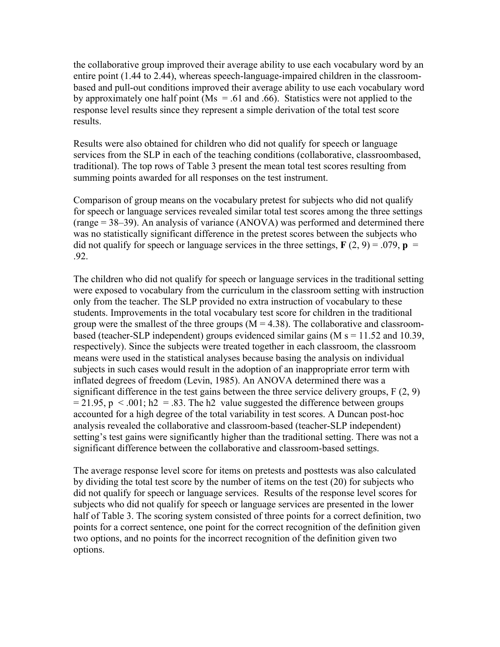the collaborative group improved their average ability to use each vocabulary word by an entire point (1.44 to 2.44), whereas speech-language-impaired children in the classroombased and pull-out conditions improved their average ability to use each vocabulary word by approximately one half point ( $Ms = .61$  and  $.66$ ). Statistics were not applied to the response level results since they represent a simple derivation of the total test score results.

Results were also obtained for children who did not qualify for speech or language services from the SLP in each of the teaching conditions (collaborative, classroombased, traditional). The top rows of Table 3 present the mean total test scores resulting from summing points awarded for all responses on the test instrument.

Comparison of group means on the vocabulary pretest for subjects who did not qualify for speech or language services revealed similar total test scores among the three settings (range = 38–39). An analysis of variance (ANOVA) was performed and determined there was no statistically significant difference in the pretest scores between the subjects who did not qualify for speech or language services in the three settings,  $\mathbf{F}(2, 9) = .079$ ,  $\mathbf{p} =$ .92.

The children who did not qualify for speech or language services in the traditional setting were exposed to vocabulary from the curriculum in the classroom setting with instruction only from the teacher. The SLP provided no extra instruction of vocabulary to these students. Improvements in the total vocabulary test score for children in the traditional group were the smallest of the three groups  $(M = 4.38)$ . The collaborative and classroombased (teacher-SLP independent) groups evidenced similar gains ( $M$  s = 11.52 and 10.39, respectively). Since the subjects were treated together in each classroom, the classroom means were used in the statistical analyses because basing the analysis on individual subjects in such cases would result in the adoption of an inappropriate error term with inflated degrees of freedom (Levin, 1985). An ANOVA determined there was a significant difference in the test gains between the three service delivery groups, F (2, 9)  $= 21.95$ , p  $\leq 0.001$ ; h2 = .83. The h2 value suggested the difference between groups accounted for a high degree of the total variability in test scores. A Duncan post-hoc analysis revealed the collaborative and classroom-based (teacher-SLP independent) setting's test gains were significantly higher than the traditional setting. There was not a significant difference between the collaborative and classroom-based settings.

The average response level score for items on pretests and posttests was also calculated by dividing the total test score by the number of items on the test (20) for subjects who did not qualify for speech or language services. Results of the response level scores for subjects who did not qualify for speech or language services are presented in the lower half of Table 3. The scoring system consisted of three points for a correct definition, two points for a correct sentence, one point for the correct recognition of the definition given two options, and no points for the incorrect recognition of the definition given two options.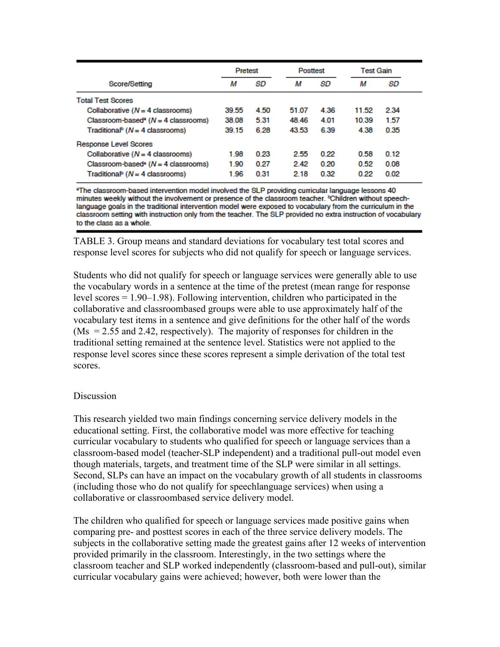|                                                    | <b>Pretest</b> |      | <b>Posttest</b> |      | <b>Test Gain</b> |      |  |
|----------------------------------------------------|----------------|------|-----------------|------|------------------|------|--|
| Score/Setting                                      | м              | SD   | м               | SD   | м                | SD   |  |
| <b>Total Test Scores</b>                           |                |      |                 |      |                  |      |  |
| Collaborative ( $N = 4$ classrooms)                | 39.55          | 4.50 | 51.07           | 4.36 | 11.52            | 2.34 |  |
| Classroom-based <sup>®</sup> ( $N = 4$ classrooms) | 38.08          | 5.31 | 48.46           | 4.01 | 10.39            | 1.57 |  |
| Traditional <sup>b</sup> ( $N = 4$ classrooms)     | 39.15          | 6.28 | 43.53           | 6.39 | 4.38             | 0.35 |  |
| <b>Response Level Scores</b>                       |                |      |                 |      |                  |      |  |
| Collaborative ( $N = 4$ classrooms)                | 1.98           | 0.23 | 2.55            | 0.22 | 0.58             | 0.12 |  |
| Classroom-based <sup>®</sup> ( $N = 4$ classrooms) | 1.90           | 0.27 | 2.42            | 0.20 | 0.52             | 0.08 |  |
| Traditional <sup>®</sup> ( $N = 4$ classrooms)     | 1.96           | 0.31 | 2.18            | 0.32 | 0.22             | 0.02 |  |

\*The classroom-based intervention model involved the SLP providing curricular language lessons 40 minutes weekly without the involvement or presence of the classroom teacher. <sup>b</sup>Children without speechlanguage goals in the traditional intervention model were exposed to vocabulary from the curriculum in the classroom setting with instruction only from the teacher. The SLP provided no extra instruction of vocabulary to the class as a whole.

TABLE 3. Group means and standard deviations for vocabulary test total scores and response level scores for subjects who did not qualify for speech or language services.

Students who did not qualify for speech or language services were generally able to use the vocabulary words in a sentence at the time of the pretest (mean range for response level scores = 1.90–1.98). Following intervention, children who participated in the collaborative and classroombased groups were able to use approximately half of the vocabulary test items in a sentence and give definitions for the other half of the words  $(Ms = 2.55$  and 2.42, respectively). The majority of responses for children in the traditional setting remained at the sentence level. Statistics were not applied to the response level scores since these scores represent a simple derivation of the total test scores.

#### **Discussion**

This research yielded two main findings concerning service delivery models in the educational setting. First, the collaborative model was more effective for teaching curricular vocabulary to students who qualified for speech or language services than a classroom-based model (teacher-SLP independent) and a traditional pull-out model even though materials, targets, and treatment time of the SLP were similar in all settings. Second, SLPs can have an impact on the vocabulary growth of all students in classrooms (including those who do not qualify for speechlanguage services) when using a collaborative or classroombased service delivery model.

The children who qualified for speech or language services made positive gains when comparing pre- and posttest scores in each of the three service delivery models. The subjects in the collaborative setting made the greatest gains after 12 weeks of intervention provided primarily in the classroom. Interestingly, in the two settings where the classroom teacher and SLP worked independently (classroom-based and pull-out), similar curricular vocabulary gains were achieved; however, both were lower than the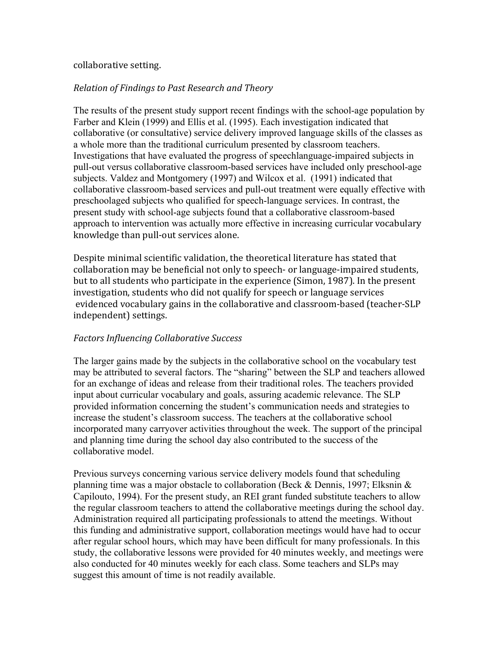#### collaborative setting.

### *Relation of Findings to Past Research and Theory*

The results of the present study support recent findings with the school-age population by Farber and Klein (1999) and Ellis et al. (1995). Each investigation indicated that collaborative (or consultative) service delivery improved language skills of the classes as a whole more than the traditional curriculum presented by classroom teachers. Investigations that have evaluated the progress of speechlanguage-impaired subjects in pull-out versus collaborative classroom-based services have included only preschool-age subjects. Valdez and Montgomery (1997) and Wilcox et al. (1991) indicated that collaborative classroom-based services and pull-out treatment were equally effective with preschoolaged subjects who qualified for speech-language services. In contrast, the present study with school-age subjects found that a collaborative classroom-based approach to intervention was actually more effective in increasing curricular vocabulary knowledge than pull-out services alone.

Despite minimal scientific validation, the theoretical literature has stated that collaboration may be beneficial not only to speech- or language-impaired students, but to all students who participate in the experience (Simon, 1987). In the present investigation, students who did not qualify for speech or language services evidenced vocabulary gains in the collaborative and classroom-based (teacher-SLP independent) settings.

#### *Factors Influencing Collaborative Success*

The larger gains made by the subjects in the collaborative school on the vocabulary test may be attributed to several factors. The "sharing" between the SLP and teachers allowed for an exchange of ideas and release from their traditional roles. The teachers provided input about curricular vocabulary and goals, assuring academic relevance. The SLP provided information concerning the student's communication needs and strategies to increase the student's classroom success. The teachers at the collaborative school incorporated many carryover activities throughout the week. The support of the principal and planning time during the school day also contributed to the success of the collaborative model.

Previous surveys concerning various service delivery models found that scheduling planning time was a major obstacle to collaboration (Beck & Dennis, 1997; Elksnin & Capilouto, 1994). For the present study, an REI grant funded substitute teachers to allow the regular classroom teachers to attend the collaborative meetings during the school day. Administration required all participating professionals to attend the meetings. Without this funding and administrative support, collaboration meetings would have had to occur after regular school hours, which may have been difficult for many professionals. In this study, the collaborative lessons were provided for 40 minutes weekly, and meetings were also conducted for 40 minutes weekly for each class. Some teachers and SLPs may suggest this amount of time is not readily available.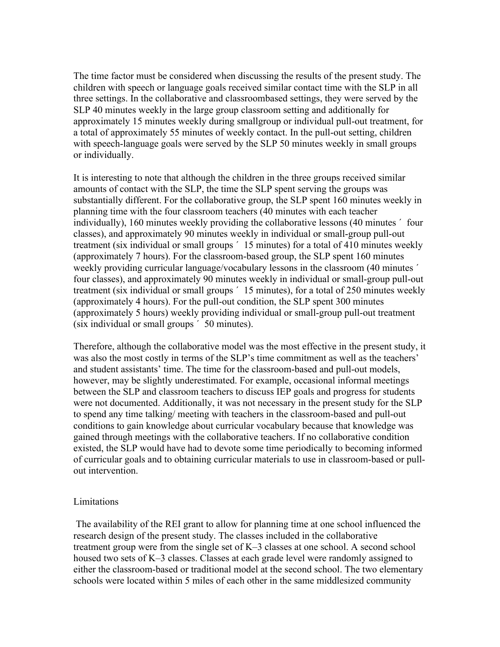The time factor must be considered when discussing the results of the present study. The children with speech or language goals received similar contact time with the SLP in all three settings. In the collaborative and classroombased settings, they were served by the SLP 40 minutes weekly in the large group classroom setting and additionally for approximately 15 minutes weekly during smallgroup or individual pull-out treatment, for a total of approximately 55 minutes of weekly contact. In the pull-out setting, children with speech-language goals were served by the SLP 50 minutes weekly in small groups or individually.

It is interesting to note that although the children in the three groups received similar amounts of contact with the SLP, the time the SLP spent serving the groups was substantially different. For the collaborative group, the SLP spent 160 minutes weekly in planning time with the four classroom teachers (40 minutes with each teacher individually), 160 minutes weekly providing the collaborative lessons (40 minutes ´ four classes), and approximately 90 minutes weekly in individual or small-group pull-out treatment (six individual or small groups ´ 15 minutes) for a total of 410 minutes weekly (approximately 7 hours). For the classroom-based group, the SLP spent 160 minutes weekly providing curricular language/vocabulary lessons in the classroom (40 minutes ´ four classes), and approximately 90 minutes weekly in individual or small-group pull-out treatment (six individual or small groups ´ 15 minutes), for a total of 250 minutes weekly (approximately 4 hours). For the pull-out condition, the SLP spent 300 minutes (approximately 5 hours) weekly providing individual or small-group pull-out treatment (six individual or small groups ´ 50 minutes).

Therefore, although the collaborative model was the most effective in the present study, it was also the most costly in terms of the SLP's time commitment as well as the teachers' and student assistants' time. The time for the classroom-based and pull-out models, however, may be slightly underestimated. For example, occasional informal meetings between the SLP and classroom teachers to discuss IEP goals and progress for students were not documented. Additionally, it was not necessary in the present study for the SLP to spend any time talking/ meeting with teachers in the classroom-based and pull-out conditions to gain knowledge about curricular vocabulary because that knowledge was gained through meetings with the collaborative teachers. If no collaborative condition existed, the SLP would have had to devote some time periodically to becoming informed of curricular goals and to obtaining curricular materials to use in classroom-based or pullout intervention.

#### Limitations

The availability of the REI grant to allow for planning time at one school influenced the research design of the present study. The classes included in the collaborative treatment group were from the single set of K–3 classes at one school. A second school housed two sets of K–3 classes. Classes at each grade level were randomly assigned to either the classroom-based or traditional model at the second school. The two elementary schools were located within 5 miles of each other in the same middlesized community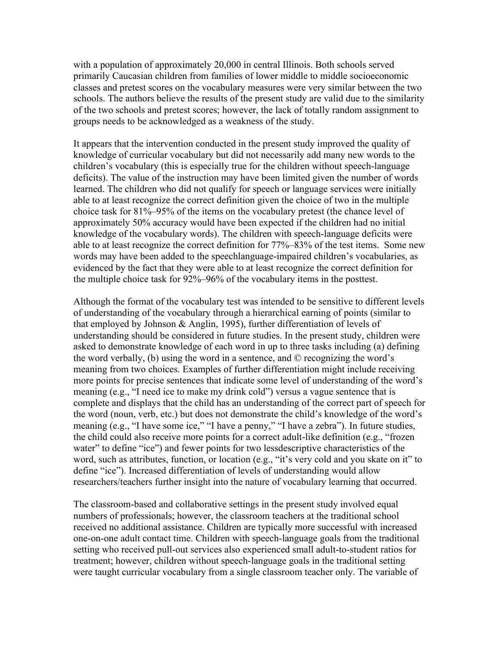with a population of approximately 20,000 in central Illinois. Both schools served primarily Caucasian children from families of lower middle to middle socioeconomic classes and pretest scores on the vocabulary measures were very similar between the two schools. The authors believe the results of the present study are valid due to the similarity of the two schools and pretest scores; however, the lack of totally random assignment to groups needs to be acknowledged as a weakness of the study.

It appears that the intervention conducted in the present study improved the quality of knowledge of curricular vocabulary but did not necessarily add many new words to the children's vocabulary (this is especially true for the children without speech-language deficits). The value of the instruction may have been limited given the number of words learned. The children who did not qualify for speech or language services were initially able to at least recognize the correct definition given the choice of two in the multiple choice task for 81%–95% of the items on the vocabulary pretest (the chance level of approximately 50% accuracy would have been expected if the children had no initial knowledge of the vocabulary words). The children with speech-language deficits were able to at least recognize the correct definition for 77%–83% of the test items. Some new words may have been added to the speechlanguage-impaired children's vocabularies, as evidenced by the fact that they were able to at least recognize the correct definition for the multiple choice task for 92%–96% of the vocabulary items in the posttest.

Although the format of the vocabulary test was intended to be sensitive to different levels of understanding of the vocabulary through a hierarchical earning of points (similar to that employed by Johnson & Anglin, 1995), further differentiation of levels of understanding should be considered in future studies. In the present study, children were asked to demonstrate knowledge of each word in up to three tasks including (a) defining the word verbally, (b) using the word in a sentence, and © recognizing the word's meaning from two choices. Examples of further differentiation might include receiving more points for precise sentences that indicate some level of understanding of the word's meaning (e.g., "I need ice to make my drink cold") versus a vague sentence that is complete and displays that the child has an understanding of the correct part of speech for the word (noun, verb, etc.) but does not demonstrate the child's knowledge of the word's meaning (e.g., "I have some ice," "I have a penny," "I have a zebra"). In future studies, the child could also receive more points for a correct adult-like definition (e.g., "frozen water" to define "ice") and fewer points for two less descriptive characteristics of the word, such as attributes, function, or location (e.g., "it's very cold and you skate on it" to define "ice"). Increased differentiation of levels of understanding would allow researchers/teachers further insight into the nature of vocabulary learning that occurred.

The classroom-based and collaborative settings in the present study involved equal numbers of professionals; however, the classroom teachers at the traditional school received no additional assistance. Children are typically more successful with increased one-on-one adult contact time. Children with speech-language goals from the traditional setting who received pull-out services also experienced small adult-to-student ratios for treatment; however, children without speech-language goals in the traditional setting were taught curricular vocabulary from a single classroom teacher only. The variable of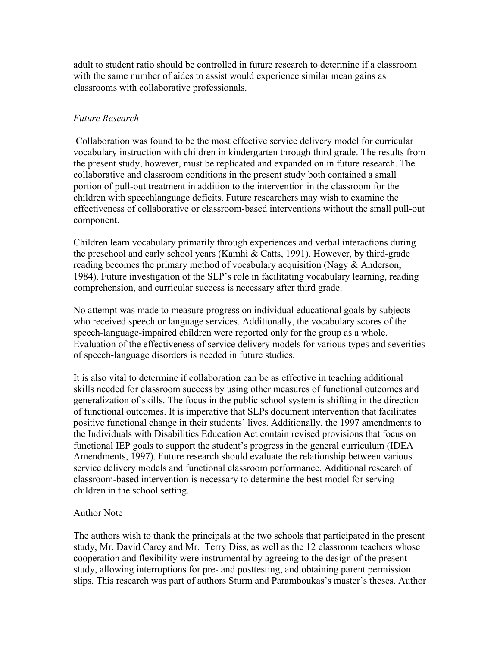adult to student ratio should be controlled in future research to determine if a classroom with the same number of aides to assist would experience similar mean gains as classrooms with collaborative professionals.

#### *Future Research*

Collaboration was found to be the most effective service delivery model for curricular vocabulary instruction with children in kindergarten through third grade. The results from the present study, however, must be replicated and expanded on in future research. The collaborative and classroom conditions in the present study both contained a small portion of pull-out treatment in addition to the intervention in the classroom for the children with speechlanguage deficits. Future researchers may wish to examine the effectiveness of collaborative or classroom-based interventions without the small pull-out component.

Children learn vocabulary primarily through experiences and verbal interactions during the preschool and early school years (Kamhi & Catts, 1991). However, by third-grade reading becomes the primary method of vocabulary acquisition (Nagy & Anderson, 1984). Future investigation of the SLP's role in facilitating vocabulary learning, reading comprehension, and curricular success is necessary after third grade.

No attempt was made to measure progress on individual educational goals by subjects who received speech or language services. Additionally, the vocabulary scores of the speech-language-impaired children were reported only for the group as a whole. Evaluation of the effectiveness of service delivery models for various types and severities of speech-language disorders is needed in future studies.

It is also vital to determine if collaboration can be as effective in teaching additional skills needed for classroom success by using other measures of functional outcomes and generalization of skills. The focus in the public school system is shifting in the direction of functional outcomes. It is imperative that SLPs document intervention that facilitates positive functional change in their students' lives. Additionally, the 1997 amendments to the Individuals with Disabilities Education Act contain revised provisions that focus on functional IEP goals to support the student's progress in the general curriculum (IDEA Amendments, 1997). Future research should evaluate the relationship between various service delivery models and functional classroom performance. Additional research of classroom-based intervention is necessary to determine the best model for serving children in the school setting.

### Author Note

The authors wish to thank the principals at the two schools that participated in the present study, Mr. David Carey and Mr. Terry Diss, as well as the 12 classroom teachers whose cooperation and flexibility were instrumental by agreeing to the design of the present study, allowing interruptions for pre- and posttesting, and obtaining parent permission slips. This research was part of authors Sturm and Paramboukas's master's theses. Author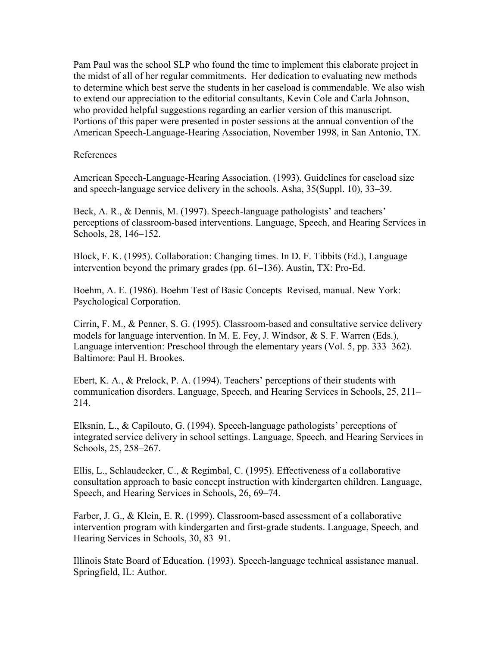Pam Paul was the school SLP who found the time to implement this elaborate project in the midst of all of her regular commitments. Her dedication to evaluating new methods to determine which best serve the students in her caseload is commendable. We also wish to extend our appreciation to the editorial consultants, Kevin Cole and Carla Johnson, who provided helpful suggestions regarding an earlier version of this manuscript. Portions of this paper were presented in poster sessions at the annual convention of the American Speech-Language-Hearing Association, November 1998, in San Antonio, TX.

#### References

American Speech-Language-Hearing Association. (1993). Guidelines for caseload size and speech-language service delivery in the schools. Asha, 35(Suppl. 10), 33–39.

Beck, A. R., & Dennis, M. (1997). Speech-language pathologists' and teachers' perceptions of classroom-based interventions. Language, Speech, and Hearing Services in Schools, 28, 146–152.

Block, F. K. (1995). Collaboration: Changing times. In D. F. Tibbits (Ed.), Language intervention beyond the primary grades (pp. 61–136). Austin, TX: Pro-Ed.

Boehm, A. E. (1986). Boehm Test of Basic Concepts–Revised, manual. New York: Psychological Corporation.

Cirrin, F. M., & Penner, S. G. (1995). Classroom-based and consultative service delivery models for language intervention. In M. E. Fey, J. Windsor, & S. F. Warren (Eds.), Language intervention: Preschool through the elementary years (Vol. 5, pp. 333–362). Baltimore: Paul H. Brookes.

Ebert, K. A., & Prelock, P. A. (1994). Teachers' perceptions of their students with communication disorders. Language, Speech, and Hearing Services in Schools, 25, 211– 214.

Elksnin, L., & Capilouto, G. (1994). Speech-language pathologists' perceptions of integrated service delivery in school settings. Language, Speech, and Hearing Services in Schools, 25, 258–267.

Ellis, L., Schlaudecker, C., & Regimbal, C. (1995). Effectiveness of a collaborative consultation approach to basic concept instruction with kindergarten children. Language, Speech, and Hearing Services in Schools, 26, 69–74.

Farber, J. G., & Klein, E. R. (1999). Classroom-based assessment of a collaborative intervention program with kindergarten and first-grade students. Language, Speech, and Hearing Services in Schools, 30, 83–91.

Illinois State Board of Education. (1993). Speech-language technical assistance manual. Springfield, IL: Author.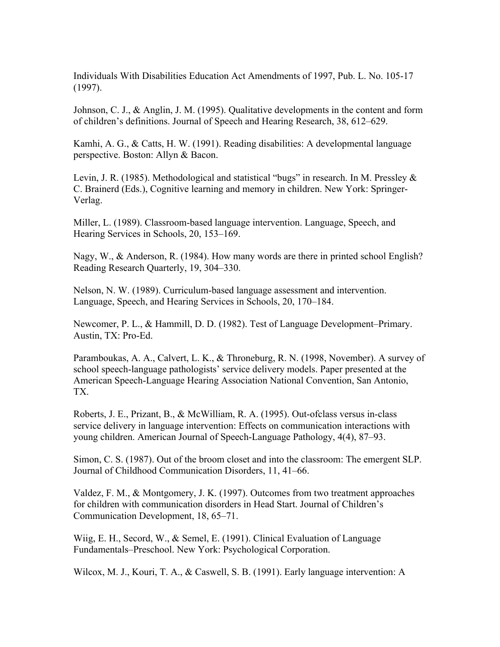Individuals With Disabilities Education Act Amendments of 1997, Pub. L. No. 105-17 (1997).

Johnson, C. J., & Anglin, J. M. (1995). Qualitative developments in the content and form of children's definitions. Journal of Speech and Hearing Research, 38, 612–629.

Kamhi, A. G., & Catts, H. W. (1991). Reading disabilities: A developmental language perspective. Boston: Allyn & Bacon.

Levin, J. R. (1985). Methodological and statistical "bugs" in research. In M. Pressley  $\&$ C. Brainerd (Eds.), Cognitive learning and memory in children. New York: Springer-Verlag.

Miller, L. (1989). Classroom-based language intervention. Language, Speech, and Hearing Services in Schools, 20, 153–169.

Nagy, W., & Anderson, R. (1984). How many words are there in printed school English? Reading Research Quarterly, 19, 304–330.

Nelson, N. W. (1989). Curriculum-based language assessment and intervention. Language, Speech, and Hearing Services in Schools, 20, 170–184.

Newcomer, P. L., & Hammill, D. D. (1982). Test of Language Development–Primary. Austin, TX: Pro-Ed.

Paramboukas, A. A., Calvert, L. K., & Throneburg, R. N. (1998, November). A survey of school speech-language pathologists' service delivery models. Paper presented at the American Speech-Language Hearing Association National Convention, San Antonio, TX.

Roberts, J. E., Prizant, B., & McWilliam, R. A. (1995). Out-ofclass versus in-class service delivery in language intervention: Effects on communication interactions with young children. American Journal of Speech-Language Pathology, 4(4), 87–93.

Simon, C. S. (1987). Out of the broom closet and into the classroom: The emergent SLP. Journal of Childhood Communication Disorders, 11, 41–66.

Valdez, F. M., & Montgomery, J. K. (1997). Outcomes from two treatment approaches for children with communication disorders in Head Start. Journal of Children's Communication Development, 18, 65–71.

Wiig, E. H., Secord, W., & Semel, E. (1991). Clinical Evaluation of Language Fundamentals–Preschool. New York: Psychological Corporation.

Wilcox, M. J., Kouri, T. A., & Caswell, S. B. (1991). Early language intervention: A